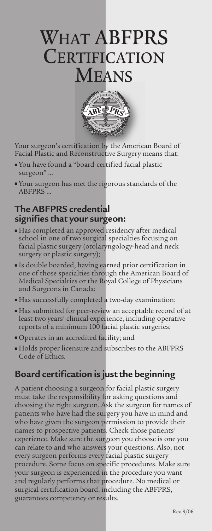# WHAT ABFPRS **CERTIFICATION MEANS**



Your surgeon's certification by the American Board of Facial Plastic and Reconstructive Surgery means that:

- You have found a "board-certified facial plastic surgeon" ...
- Your surgeon has met the rigorous standards of the **ABFPRS**

#### **The ABFPRS credential signifies that your surgeon:**

- Has completed an approved residency after medical school in one of two surgical specialties focusing on facial plastic surgery (otolaryngology-head and neck surgery or plastic surgery);
- Is double boarded, having earned prior certification in one of those specialties through the American Board of Medical Specialties or the Royal College of Physicians and Surgeons in Canada;
- Has successfully completed a two-day examination;
- Has submitted for peer-review an acceptable record of at least two years' clinical experience, including operative reports of a minimum 100 facial plastic surgeries;
- Operates in an accredited facility; and
- Holds proper licensure and subscribes to the ABFPRS Code of Ethics.

## **Board certification is just the beginning**

A patient choosing a surgeon for facial plastic surgery must take the responsibility for asking questions and choosing the right surgeon. Ask the surgeon for names of patients who have had the surgery you have in mind and who have given the surgeon permission to provide their names to prospective patients. Check those patients' experience. Make sure the surgeon you choose is one you can relate to and who answers your questions. Also, not every surgeon performs every facial plastic surgery procedure. Some focus on specific procedures. Make sure your surgeon is experienced in the procedure you want and regularly performs that procedure. No medical or surgical certification board, including the ABFPRS, guarantees competency or results.